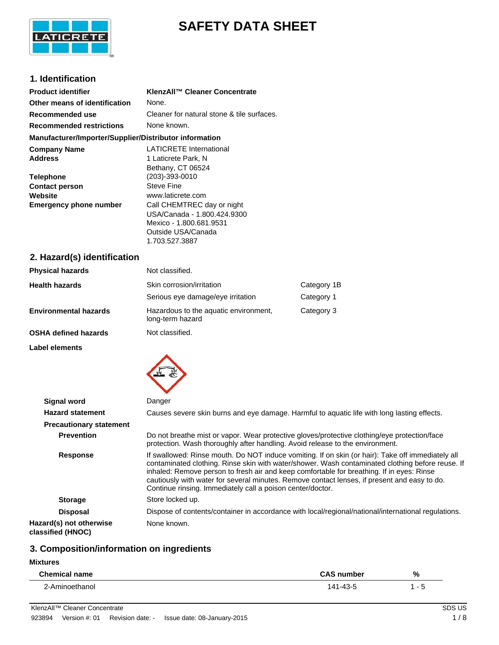

## **SAFETY DATA SHEET**

#### **1. Identification**

| <b>Product identifier</b>                              | KlenzAll™ Cleaner Concentrate              |
|--------------------------------------------------------|--------------------------------------------|
| Other means of identification                          | None.                                      |
| Recommended use                                        | Cleaner for natural stone & tile surfaces. |
| <b>Recommended restrictions</b>                        | None known.                                |
| Manufacturer/Importer/Supplier/Distributor information |                                            |
| <b>Company Name</b>                                    | <b>LATICRETE International</b>             |
| <b>Address</b>                                         | 1 Laticrete Park, N                        |
|                                                        | Bethany, CT 06524                          |
| <b>Telephone</b>                                       | $(203) - 393 - 0010$                       |
| <b>Contact person</b>                                  | Steve Fine                                 |
| Website                                                | www.laticrete.com                          |
| <b>Emergency phone number</b>                          | Call CHEMTREC day or night                 |
|                                                        | USA/Canada - 1.800.424.9300                |
|                                                        | Mexico - 1.800.681.9531                    |
|                                                        | Outside USA/Canada                         |
|                                                        | 1.703.527.3887                             |
|                                                        |                                            |

### **2. Hazard(s) identification**

| <b>Physical hazards</b>      | Not classified.                                                |                           |
|------------------------------|----------------------------------------------------------------|---------------------------|
| <b>Health hazards</b>        | Skin corrosion/irritation<br>Serious eye damage/eye irritation | Category 1B<br>Category 1 |
| <b>Environmental hazards</b> | Hazardous to the aquatic environment,<br>long-term hazard      | Category 3                |
| <b>OSHA defined hazards</b>  | Not classified.                                                |                           |

**Label elements**



| <b>Signal word</b>                           | Danger                                                                                                                                                                                                                                                                                                                                                                                                                                                           |  |  |
|----------------------------------------------|------------------------------------------------------------------------------------------------------------------------------------------------------------------------------------------------------------------------------------------------------------------------------------------------------------------------------------------------------------------------------------------------------------------------------------------------------------------|--|--|
| <b>Hazard statement</b>                      | Causes severe skin burns and eye damage. Harmful to aquatic life with long lasting effects.                                                                                                                                                                                                                                                                                                                                                                      |  |  |
| <b>Precautionary statement</b>               |                                                                                                                                                                                                                                                                                                                                                                                                                                                                  |  |  |
| <b>Prevention</b>                            | Do not breathe mist or vapor. Wear protective gloves/protective clothing/eye protection/face<br>protection. Wash thoroughly after handling. Avoid release to the environment.                                                                                                                                                                                                                                                                                    |  |  |
| <b>Response</b>                              | If swallowed: Rinse mouth. Do NOT induce vomiting. If on skin (or hair): Take off immediately all<br>contaminated clothing. Rinse skin with water/shower. Wash contaminated clothing before reuse. If<br>inhaled: Remove person to fresh air and keep comfortable for breathing. If in eyes: Rinse<br>cautiously with water for several minutes. Remove contact lenses, if present and easy to do.<br>Continue rinsing. Immediately call a poison center/doctor. |  |  |
| <b>Storage</b>                               | Store locked up.                                                                                                                                                                                                                                                                                                                                                                                                                                                 |  |  |
| <b>Disposal</b>                              | Dispose of contents/container in accordance with local/regional/national/international regulations.                                                                                                                                                                                                                                                                                                                                                              |  |  |
| Hazard(s) not otherwise<br>classified (HNOC) | None known.                                                                                                                                                                                                                                                                                                                                                                                                                                                      |  |  |

#### **3. Composition/information on ingredients**

#### **Mixtures**

| <b>Chemical name</b> | <b>CAS number</b>        | % |
|----------------------|--------------------------|---|
| .−∆r∼<br>.           | $\overline{\phantom{a}}$ |   |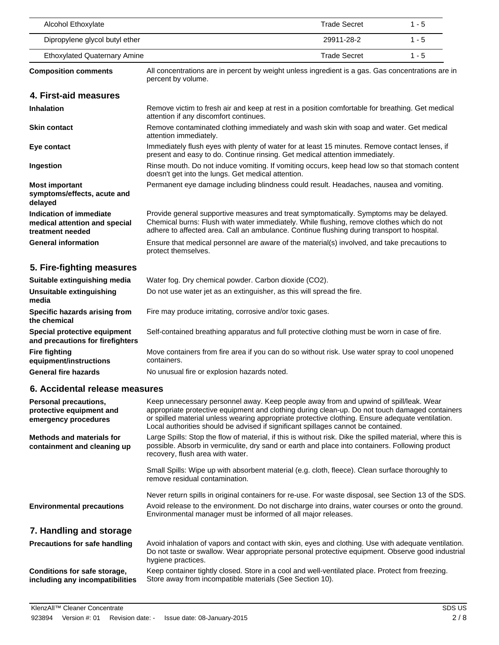| Alcohol Ethoxylate                                                                                                                                     |                                                                                                                                                                                                                                                                                                                                                                                  | <b>Trade Secret</b> | $1 - 5$ |
|--------------------------------------------------------------------------------------------------------------------------------------------------------|----------------------------------------------------------------------------------------------------------------------------------------------------------------------------------------------------------------------------------------------------------------------------------------------------------------------------------------------------------------------------------|---------------------|---------|
| Dipropylene glycol butyl ether                                                                                                                         |                                                                                                                                                                                                                                                                                                                                                                                  | 29911-28-2          | $1 - 5$ |
| <b>Ethoxylated Quaternary Amine</b>                                                                                                                    |                                                                                                                                                                                                                                                                                                                                                                                  | <b>Trade Secret</b> | $1 - 5$ |
| All concentrations are in percent by weight unless ingredient is a gas. Gas concentrations are in<br><b>Composition comments</b><br>percent by volume. |                                                                                                                                                                                                                                                                                                                                                                                  |                     |         |
| 4. First-aid measures                                                                                                                                  |                                                                                                                                                                                                                                                                                                                                                                                  |                     |         |
| <b>Inhalation</b>                                                                                                                                      | Remove victim to fresh air and keep at rest in a position comfortable for breathing. Get medical<br>attention if any discomfort continues.                                                                                                                                                                                                                                       |                     |         |
| <b>Skin contact</b>                                                                                                                                    | Remove contaminated clothing immediately and wash skin with soap and water. Get medical<br>attention immediately.                                                                                                                                                                                                                                                                |                     |         |
| Eye contact                                                                                                                                            | Immediately flush eyes with plenty of water for at least 15 minutes. Remove contact lenses, if<br>present and easy to do. Continue rinsing. Get medical attention immediately.                                                                                                                                                                                                   |                     |         |
| Ingestion                                                                                                                                              | Rinse mouth. Do not induce vomiting. If vomiting occurs, keep head low so that stomach content<br>doesn't get into the lungs. Get medical attention.                                                                                                                                                                                                                             |                     |         |
| <b>Most important</b><br>symptoms/effects, acute and<br>delayed                                                                                        | Permanent eye damage including blindness could result. Headaches, nausea and vomiting.                                                                                                                                                                                                                                                                                           |                     |         |
| Indication of immediate<br>medical attention and special<br>treatment needed                                                                           | Provide general supportive measures and treat symptomatically. Symptoms may be delayed.<br>Chemical burns: Flush with water immediately. While flushing, remove clothes which do not<br>adhere to affected area. Call an ambulance. Continue flushing during transport to hospital.                                                                                              |                     |         |
| <b>General information</b>                                                                                                                             | Ensure that medical personnel are aware of the material(s) involved, and take precautions to<br>protect themselves.                                                                                                                                                                                                                                                              |                     |         |
| 5. Fire-fighting measures                                                                                                                              |                                                                                                                                                                                                                                                                                                                                                                                  |                     |         |
| Suitable extinguishing media                                                                                                                           | Water fog. Dry chemical powder. Carbon dioxide (CO2).                                                                                                                                                                                                                                                                                                                            |                     |         |
| Unsuitable extinguishing<br>media                                                                                                                      | Do not use water jet as an extinguisher, as this will spread the fire.                                                                                                                                                                                                                                                                                                           |                     |         |
| Specific hazards arising from<br>the chemical                                                                                                          | Fire may produce irritating, corrosive and/or toxic gases.                                                                                                                                                                                                                                                                                                                       |                     |         |
| Special protective equipment<br>and precautions for firefighters                                                                                       | Self-contained breathing apparatus and full protective clothing must be worn in case of fire.                                                                                                                                                                                                                                                                                    |                     |         |
| <b>Fire fighting</b><br>equipment/instructions                                                                                                         | Move containers from fire area if you can do so without risk. Use water spray to cool unopened<br>containers.                                                                                                                                                                                                                                                                    |                     |         |
| <b>General fire hazards</b>                                                                                                                            | No unusual fire or explosion hazards noted.                                                                                                                                                                                                                                                                                                                                      |                     |         |
| 6. Accidental release measures                                                                                                                         |                                                                                                                                                                                                                                                                                                                                                                                  |                     |         |
| Personal precautions,<br>protective equipment and<br>emergency procedures                                                                              | Keep unnecessary personnel away. Keep people away from and upwind of spill/leak. Wear<br>appropriate protective equipment and clothing during clean-up. Do not touch damaged containers<br>or spilled material unless wearing appropriate protective clothing. Ensure adequate ventilation.<br>Local authorities should be advised if significant spillages cannot be contained. |                     |         |
| <b>Methods and materials for</b><br>containment and cleaning up                                                                                        | Large Spills: Stop the flow of material, if this is without risk. Dike the spilled material, where this is<br>possible. Absorb in vermiculite, dry sand or earth and place into containers. Following product<br>recovery, flush area with water.                                                                                                                                |                     |         |
|                                                                                                                                                        | Small Spills: Wipe up with absorbent material (e.g. cloth, fleece). Clean surface thoroughly to<br>remove residual contamination.                                                                                                                                                                                                                                                |                     |         |
|                                                                                                                                                        | Never return spills in original containers for re-use. For waste disposal, see Section 13 of the SDS.                                                                                                                                                                                                                                                                            |                     |         |
| <b>Environmental precautions</b>                                                                                                                       | Avoid release to the environment. Do not discharge into drains, water courses or onto the ground.<br>Environmental manager must be informed of all major releases.                                                                                                                                                                                                               |                     |         |
| 7. Handling and storage                                                                                                                                |                                                                                                                                                                                                                                                                                                                                                                                  |                     |         |
| <b>Precautions for safe handling</b>                                                                                                                   | Avoid inhalation of vapors and contact with skin, eyes and clothing. Use with adequate ventilation.<br>Do not taste or swallow. Wear appropriate personal protective equipment. Observe good industrial<br>hygiene practices.                                                                                                                                                    |                     |         |
| Conditions for safe storage,<br>including any incompatibilities                                                                                        | Keep container tightly closed. Store in a cool and well-ventilated place. Protect from freezing.<br>Store away from incompatible materials (See Section 10).                                                                                                                                                                                                                     |                     |         |
|                                                                                                                                                        |                                                                                                                                                                                                                                                                                                                                                                                  |                     |         |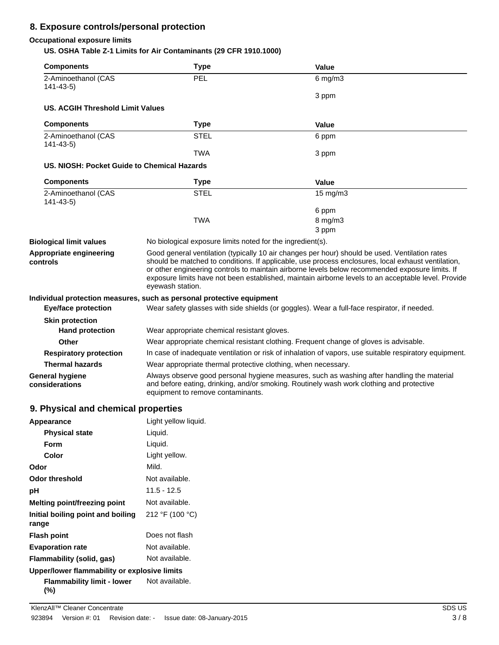#### **8. Exposure controls/personal protection**

#### **Occupational exposure limits**

**US. OSHA Table Z-1 Limits for Air Contaminants (29 CFR 1910.1000)**

| <b>Components</b>                            | <b>Type</b>                                                                                                                                                                                                                 | Value                                                                                                                                                                                                                                                                                                                                                                                                          |
|----------------------------------------------|-----------------------------------------------------------------------------------------------------------------------------------------------------------------------------------------------------------------------------|----------------------------------------------------------------------------------------------------------------------------------------------------------------------------------------------------------------------------------------------------------------------------------------------------------------------------------------------------------------------------------------------------------------|
| 2-Aminoethanol (CAS<br>$141 - 43 - 5$        | PEL                                                                                                                                                                                                                         | $6$ mg/m $3$                                                                                                                                                                                                                                                                                                                                                                                                   |
|                                              |                                                                                                                                                                                                                             | 3 ppm                                                                                                                                                                                                                                                                                                                                                                                                          |
| US. ACGIH Threshold Limit Values             |                                                                                                                                                                                                                             |                                                                                                                                                                                                                                                                                                                                                                                                                |
| <b>Components</b>                            | <b>Type</b>                                                                                                                                                                                                                 | Value                                                                                                                                                                                                                                                                                                                                                                                                          |
| 2-Aminoethanol (CAS<br>$141 - 43 - 5$        | <b>STEL</b>                                                                                                                                                                                                                 | 6 ppm                                                                                                                                                                                                                                                                                                                                                                                                          |
|                                              | <b>TWA</b>                                                                                                                                                                                                                  | 3 ppm                                                                                                                                                                                                                                                                                                                                                                                                          |
| US. NIOSH: Pocket Guide to Chemical Hazards  |                                                                                                                                                                                                                             |                                                                                                                                                                                                                                                                                                                                                                                                                |
| <b>Components</b>                            | <b>Type</b>                                                                                                                                                                                                                 | Value                                                                                                                                                                                                                                                                                                                                                                                                          |
| 2-Aminoethanol (CAS<br>$141 - 43 - 5$        | <b>STEL</b>                                                                                                                                                                                                                 | 15 mg/m3                                                                                                                                                                                                                                                                                                                                                                                                       |
|                                              |                                                                                                                                                                                                                             | 6 ppm                                                                                                                                                                                                                                                                                                                                                                                                          |
|                                              | <b>TWA</b>                                                                                                                                                                                                                  | 8 mg/m3                                                                                                                                                                                                                                                                                                                                                                                                        |
|                                              |                                                                                                                                                                                                                             | 3 ppm                                                                                                                                                                                                                                                                                                                                                                                                          |
| <b>Biological limit values</b>               | No biological exposure limits noted for the ingredient(s).                                                                                                                                                                  |                                                                                                                                                                                                                                                                                                                                                                                                                |
| Appropriate engineering<br>controls          | eyewash station.                                                                                                                                                                                                            | Good general ventilation (typically 10 air changes per hour) should be used. Ventilation rates<br>should be matched to conditions. If applicable, use process enclosures, local exhaust ventilation,<br>or other engineering controls to maintain airborne levels below recommended exposure limits. If<br>exposure limits have not been established, maintain airborne levels to an acceptable level. Provide |
|                                              | Individual protection measures, such as personal protective equipment                                                                                                                                                       |                                                                                                                                                                                                                                                                                                                                                                                                                |
| <b>Eye/face protection</b>                   |                                                                                                                                                                                                                             | Wear safety glasses with side shields (or goggles). Wear a full-face respirator, if needed.                                                                                                                                                                                                                                                                                                                    |
| <b>Skin protection</b>                       |                                                                                                                                                                                                                             |                                                                                                                                                                                                                                                                                                                                                                                                                |
| <b>Hand protection</b>                       | Wear appropriate chemical resistant gloves.                                                                                                                                                                                 |                                                                                                                                                                                                                                                                                                                                                                                                                |
| Other                                        |                                                                                                                                                                                                                             | Wear appropriate chemical resistant clothing. Frequent change of gloves is advisable.                                                                                                                                                                                                                                                                                                                          |
| <b>Respiratory protection</b>                |                                                                                                                                                                                                                             | In case of inadequate ventilation or risk of inhalation of vapors, use suitable respiratory equipment.                                                                                                                                                                                                                                                                                                         |
| <b>Thermal hazards</b>                       | Wear appropriate thermal protective clothing, when necessary.                                                                                                                                                               |                                                                                                                                                                                                                                                                                                                                                                                                                |
| <b>General hygiene</b><br>considerations     | Always observe good personal hygiene measures, such as washing after handling the material<br>and before eating, drinking, and/or smoking. Routinely wash work clothing and protective<br>equipment to remove contaminants. |                                                                                                                                                                                                                                                                                                                                                                                                                |
| q<br><b>Physical and chemical properties</b> |                                                                                                                                                                                                                             |                                                                                                                                                                                                                                                                                                                                                                                                                |

### **9. Physical and chemical properties**

| Appearance                                   | Light yellow liguid. |
|----------------------------------------------|----------------------|
| <b>Physical state</b>                        | Liquid.              |
| Form                                         | Liquid.              |
| Color                                        | Light yellow.        |
| Odor                                         | Mild.                |
| Odor threshold                               | Not available.       |
| рH                                           | $11.5 - 12.5$        |
| Melting point/freezing point                 | Not available.       |
| Initial boiling point and boiling<br>range   | 212 °F (100 °C)      |
| <b>Flash point</b>                           | Does not flash       |
| <b>Evaporation rate</b>                      | Not available.       |
| Flammability (solid, gas)                    | Not available.       |
| Upper/lower flammability or explosive limits |                      |
| Flammability limit - lower<br>(%)            | Not available.       |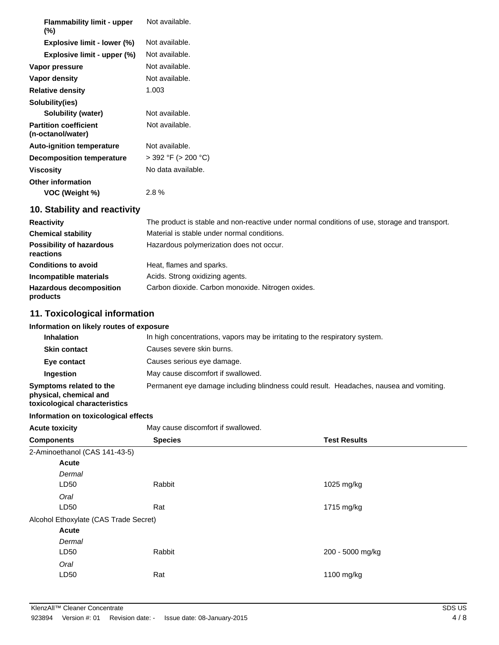| <b>Flammability limit - upper</b><br>$(\%)$       | Not available.           |
|---------------------------------------------------|--------------------------|
| Explosive limit - lower (%)                       | Not available.           |
| Explosive limit - upper (%)                       | Not available.           |
| Vapor pressure                                    | Not available.           |
| Vapor density                                     | Not available.           |
| <b>Relative density</b>                           | 1.003                    |
| Solubility(ies)                                   |                          |
| Solubility (water)                                | Not available.           |
| <b>Partition coefficient</b><br>(n-octanol/water) | Not available.           |
| <b>Auto-ignition temperature</b>                  | Not available.           |
| <b>Decomposition temperature</b>                  | $>$ 392 °F ( $>$ 200 °C) |
| <b>Viscosity</b>                                  | No data available.       |
| <b>Other information</b>                          |                          |
| VOC (Weight %)                                    | 2.8%                     |
|                                                   |                          |

#### **10. Stability and reactivity**

| <b>Reactivity</b>                            | The product is stable and non-reactive under normal conditions of use, storage and transport. |
|----------------------------------------------|-----------------------------------------------------------------------------------------------|
| <b>Chemical stability</b>                    | Material is stable under normal conditions.                                                   |
| <b>Possibility of hazardous</b><br>reactions | Hazardous polymerization does not occur.                                                      |
| <b>Conditions to avoid</b>                   | Heat, flames and sparks.                                                                      |
| Incompatible materials                       | Acids. Strong oxidizing agents.                                                               |
| <b>Hazardous decomposition</b><br>products   | Carbon dioxide. Carbon monoxide. Nitrogen oxides.                                             |

#### **11. Toxicological information**

| Information on likely routes of exposure |  |
|------------------------------------------|--|
|------------------------------------------|--|

| <b>Inhalation</b>                                                                 | In high concentrations, vapors may be irritating to the respiratory system.            |  |  |
|-----------------------------------------------------------------------------------|----------------------------------------------------------------------------------------|--|--|
| <b>Skin contact</b>                                                               | Causes severe skin burns.                                                              |  |  |
| Eye contact                                                                       | Causes serious eye damage.                                                             |  |  |
| <b>Ingestion</b>                                                                  | May cause discomfort if swallowed.                                                     |  |  |
| Symptoms related to the<br>physical, chemical and<br>enitaitatatarka kainolonixot | Permanent eye damage including blindness could result. Headaches, nausea and vomiting. |  |  |

| toxicological characteristics         |                                    |                     |        |  |
|---------------------------------------|------------------------------------|---------------------|--------|--|
| Information on toxicological effects  |                                    |                     |        |  |
| <b>Acute toxicity</b>                 | May cause discomfort if swallowed. |                     |        |  |
| <b>Components</b>                     | <b>Species</b>                     | <b>Test Results</b> |        |  |
| 2-Aminoethanol (CAS 141-43-5)         |                                    |                     |        |  |
| Acute<br>Dermal                       |                                    |                     |        |  |
| LD50<br>Oral                          | Rabbit                             | 1025 mg/kg          |        |  |
| LD50                                  | Rat                                | 1715 mg/kg          |        |  |
| Alcohol Ethoxylate (CAS Trade Secret) |                                    |                     |        |  |
| Acute<br>Dermal<br>LD50               | Rabbit                             |                     |        |  |
| Oral                                  |                                    | 200 - 5000 mg/kg    |        |  |
| LD50                                  | Rat                                | 1100 mg/kg          |        |  |
| KlenzAll™ Cleaner Concentrate         |                                    |                     | SDS US |  |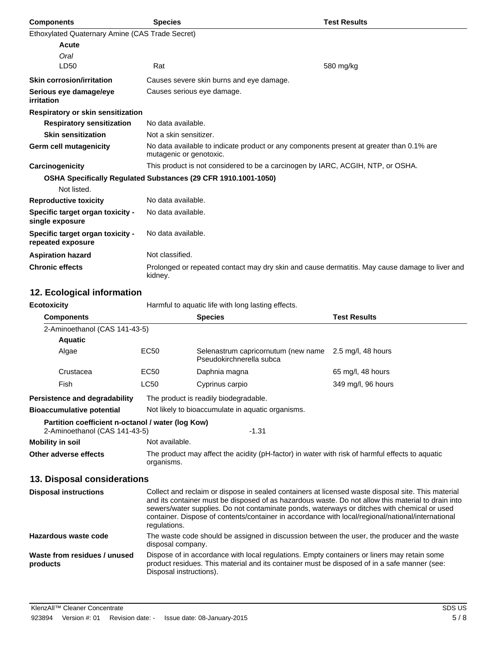| <b>Components</b>                                     | <b>Species</b>                                                                                                      | <b>Test Results</b> |  |  |
|-------------------------------------------------------|---------------------------------------------------------------------------------------------------------------------|---------------------|--|--|
| Ethoxylated Quaternary Amine (CAS Trade Secret)       |                                                                                                                     |                     |  |  |
| Acute                                                 |                                                                                                                     |                     |  |  |
| Oral                                                  |                                                                                                                     |                     |  |  |
| LD50                                                  | Rat                                                                                                                 | 580 mg/kg           |  |  |
| <b>Skin corrosion/irritation</b>                      | Causes severe skin burns and eye damage.                                                                            |                     |  |  |
| Serious eye damage/eye<br>irritation                  | Causes serious eye damage.                                                                                          |                     |  |  |
| Respiratory or skin sensitization                     |                                                                                                                     |                     |  |  |
| <b>Respiratory sensitization</b>                      | No data available.                                                                                                  |                     |  |  |
| <b>Skin sensitization</b>                             | Not a skin sensitizer.                                                                                              |                     |  |  |
| Germ cell mutagenicity                                | No data available to indicate product or any components present at greater than 0.1% are<br>mutagenic or genotoxic. |                     |  |  |
| Carcinogenicity                                       | This product is not considered to be a carcinogen by IARC, ACGIH, NTP, or OSHA.                                     |                     |  |  |
|                                                       | OSHA Specifically Regulated Substances (29 CFR 1910.1001-1050)                                                      |                     |  |  |
| Not listed.                                           |                                                                                                                     |                     |  |  |
| <b>Reproductive toxicity</b>                          | No data available.                                                                                                  |                     |  |  |
| Specific target organ toxicity -<br>single exposure   | No data available.                                                                                                  |                     |  |  |
| Specific target organ toxicity -<br>repeated exposure | No data available.                                                                                                  |                     |  |  |
| <b>Aspiration hazard</b>                              | Not classified.                                                                                                     |                     |  |  |
| <b>Chronic effects</b>                                | Prolonged or repeated contact may dry skin and cause dermatitis. May cause damage to liver and<br>kidney.           |                     |  |  |

# **12. Ecological information**

| <b>Ecotoxicity</b>                                                                            |                                                                                                                                                                                                                                                                                                                                                                                                                              | Harmful to aquatic life with long lasting effects.              |                     |  |
|-----------------------------------------------------------------------------------------------|------------------------------------------------------------------------------------------------------------------------------------------------------------------------------------------------------------------------------------------------------------------------------------------------------------------------------------------------------------------------------------------------------------------------------|-----------------------------------------------------------------|---------------------|--|
| <b>Components</b>                                                                             |                                                                                                                                                                                                                                                                                                                                                                                                                              | <b>Species</b>                                                  | <b>Test Results</b> |  |
| 2-Aminoethanol (CAS 141-43-5)                                                                 |                                                                                                                                                                                                                                                                                                                                                                                                                              |                                                                 |                     |  |
| <b>Aquatic</b>                                                                                |                                                                                                                                                                                                                                                                                                                                                                                                                              |                                                                 |                     |  |
| Algae                                                                                         | <b>EC50</b>                                                                                                                                                                                                                                                                                                                                                                                                                  | Selenastrum capricornutum (new name<br>Pseudokirchnerella subca | 2.5 mg/l, 48 hours  |  |
| Crustacea                                                                                     | EC50                                                                                                                                                                                                                                                                                                                                                                                                                         | Daphnia magna                                                   | 65 mg/l, 48 hours   |  |
| Fish                                                                                          | <b>LC50</b>                                                                                                                                                                                                                                                                                                                                                                                                                  | Cyprinus carpio                                                 | 349 mg/l, 96 hours  |  |
| <b>Persistence and degradability</b><br>The product is readily biodegradable.                 |                                                                                                                                                                                                                                                                                                                                                                                                                              |                                                                 |                     |  |
| <b>Bioaccumulative potential</b>                                                              | Not likely to bioaccumulate in aquatic organisms.                                                                                                                                                                                                                                                                                                                                                                            |                                                                 |                     |  |
| Partition coefficient n-octanol / water (log Kow)<br>2-Aminoethanol (CAS 141-43-5)<br>$-1.31$ |                                                                                                                                                                                                                                                                                                                                                                                                                              |                                                                 |                     |  |
| <b>Mobility in soil</b>                                                                       | Not available.                                                                                                                                                                                                                                                                                                                                                                                                               |                                                                 |                     |  |
| Other adverse effects                                                                         | The product may affect the acidity (pH-factor) in water with risk of harmful effects to aquatic<br>organisms.                                                                                                                                                                                                                                                                                                                |                                                                 |                     |  |
| 13. Disposal considerations                                                                   |                                                                                                                                                                                                                                                                                                                                                                                                                              |                                                                 |                     |  |
| <b>Disposal instructions</b>                                                                  | Collect and reclaim or dispose in sealed containers at licensed waste disposal site. This material<br>and its container must be disposed of as hazardous waste. Do not allow this material to drain into<br>sewers/water supplies. Do not contaminate ponds, waterways or ditches with chemical or used<br>container. Dispose of contents/container in accordance with local/regional/national/international<br>regulations. |                                                                 |                     |  |
| Hazardous waste code                                                                          | The waste code should be assigned in discussion between the user, the producer and the waste<br>disposal company.                                                                                                                                                                                                                                                                                                            |                                                                 |                     |  |
| Waste from residues / unused<br>products                                                      | Dispose of in accordance with local regulations. Empty containers or liners may retain some<br>product residues. This material and its container must be disposed of in a safe manner (see:<br>Disposal instructions).                                                                                                                                                                                                       |                                                                 |                     |  |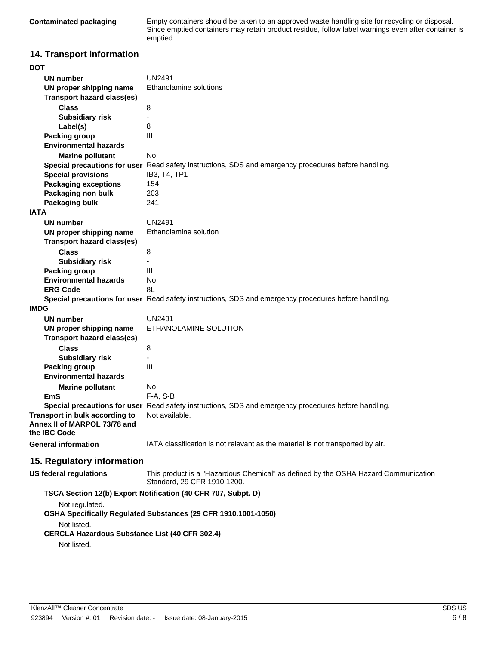**Contaminated packaging** Empty containers should be taken to an approved waste handling site for recycling or disposal. Since emptied containers may retain product residue, follow label warnings even after container is emptied.

#### **14. Transport information**

| DOT                                                                                                                                                      |                                                                                                                   |  |             |  |
|----------------------------------------------------------------------------------------------------------------------------------------------------------|-------------------------------------------------------------------------------------------------------------------|--|-------------|--|
| UN number                                                                                                                                                | UN2491                                                                                                            |  |             |  |
| UN proper shipping name                                                                                                                                  | Ethanolamine solutions                                                                                            |  |             |  |
| <b>Transport hazard class(es)</b>                                                                                                                        |                                                                                                                   |  |             |  |
| <b>Class</b>                                                                                                                                             | 8                                                                                                                 |  |             |  |
| <b>Subsidiary risk</b>                                                                                                                                   |                                                                                                                   |  |             |  |
| Label(s)                                                                                                                                                 | 8                                                                                                                 |  |             |  |
| <b>Packing group</b>                                                                                                                                     | Ш                                                                                                                 |  |             |  |
| <b>Environmental hazards</b>                                                                                                                             |                                                                                                                   |  |             |  |
| <b>Marine pollutant</b>                                                                                                                                  | No                                                                                                                |  |             |  |
|                                                                                                                                                          | Special precautions for user Read safety instructions, SDS and emergency procedures before handling.              |  |             |  |
| <b>Special provisions</b>                                                                                                                                | IB3, T4, TP1                                                                                                      |  |             |  |
| <b>Packaging exceptions</b>                                                                                                                              | 154                                                                                                               |  |             |  |
| Packaging non bulk                                                                                                                                       | 203                                                                                                               |  |             |  |
| Packaging bulk                                                                                                                                           | 241                                                                                                               |  |             |  |
| <b>IATA</b>                                                                                                                                              |                                                                                                                   |  |             |  |
| <b>UN number</b>                                                                                                                                         | UN2491                                                                                                            |  |             |  |
| UN proper shipping name                                                                                                                                  | Ethanolamine solution                                                                                             |  |             |  |
| <b>Transport hazard class(es)</b>                                                                                                                        |                                                                                                                   |  |             |  |
| <b>Class</b>                                                                                                                                             | 8                                                                                                                 |  |             |  |
| <b>Subsidiary risk</b>                                                                                                                                   |                                                                                                                   |  |             |  |
| <b>Packing group</b>                                                                                                                                     | III                                                                                                               |  |             |  |
| <b>Environmental hazards</b>                                                                                                                             | No                                                                                                                |  |             |  |
| <b>ERG Code</b>                                                                                                                                          | 8L                                                                                                                |  |             |  |
|                                                                                                                                                          | Special precautions for user Read safety instructions, SDS and emergency procedures before handling.              |  |             |  |
| <b>IMDG</b>                                                                                                                                              |                                                                                                                   |  |             |  |
| <b>UN number</b>                                                                                                                                         | UN2491                                                                                                            |  |             |  |
| UN proper shipping name                                                                                                                                  | ETHANOLAMINE SOLUTION                                                                                             |  |             |  |
| <b>Transport hazard class(es)</b>                                                                                                                        |                                                                                                                   |  |             |  |
| <b>Class</b>                                                                                                                                             | 8                                                                                                                 |  |             |  |
| <b>Subsidiary risk</b>                                                                                                                                   |                                                                                                                   |  |             |  |
| <b>Packing group</b>                                                                                                                                     | III                                                                                                               |  |             |  |
| <b>Environmental hazards</b>                                                                                                                             |                                                                                                                   |  |             |  |
|                                                                                                                                                          | No                                                                                                                |  |             |  |
| <b>Marine pollutant</b><br><b>EmS</b>                                                                                                                    | F-A, S-B                                                                                                          |  |             |  |
|                                                                                                                                                          | Special precautions for user Read safety instructions, SDS and emergency procedures before handling.              |  |             |  |
| Transport in bulk according to                                                                                                                           | Not available.                                                                                                    |  |             |  |
| Annex II of MARPOL 73/78 and                                                                                                                             |                                                                                                                   |  |             |  |
| the IBC Code                                                                                                                                             |                                                                                                                   |  |             |  |
| <b>General information</b>                                                                                                                               | IATA classification is not relevant as the material is not transported by air.                                    |  |             |  |
|                                                                                                                                                          |                                                                                                                   |  |             |  |
| 15. Regulatory information                                                                                                                               |                                                                                                                   |  |             |  |
| <b>US federal regulations</b>                                                                                                                            | This product is a "Hazardous Chemical" as defined by the OSHA Hazard Communication<br>Standard, 29 CFR 1910.1200. |  |             |  |
|                                                                                                                                                          | TSCA Section 12(b) Export Notification (40 CFR 707, Subpt. D)                                                     |  |             |  |
| Not regulated.<br>OSHA Specifically Regulated Substances (29 CFR 1910.1001-1050)<br>Not listed.<br><b>CERCLA Hazardous Substance List (40 CFR 302.4)</b> |                                                                                                                   |  |             |  |
|                                                                                                                                                          |                                                                                                                   |  | Not listed. |  |
|                                                                                                                                                          |                                                                                                                   |  |             |  |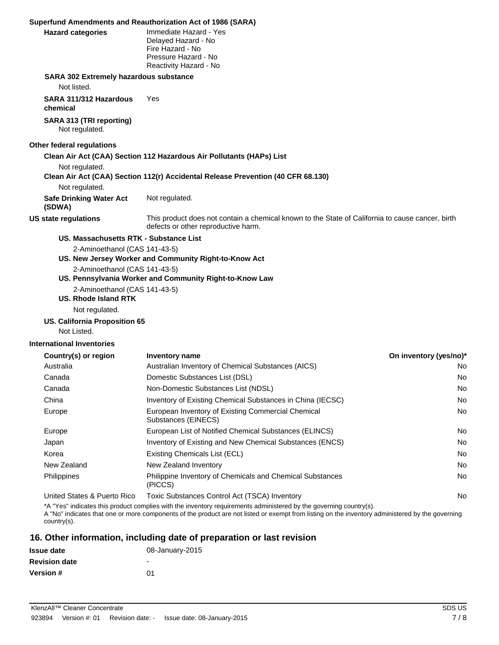|                                                                                                    | Superfund Amendments and Reauthorization Act of 1986 (SARA)                                                                             |  |  |
|----------------------------------------------------------------------------------------------------|-----------------------------------------------------------------------------------------------------------------------------------------|--|--|
| <b>Hazard categories</b>                                                                           | Immediate Hazard - Yes<br>Delayed Hazard - No<br>Fire Hazard - No<br>Pressure Hazard - No<br>Reactivity Hazard - No                     |  |  |
| <b>SARA 302 Extremely hazardous substance</b>                                                      |                                                                                                                                         |  |  |
| Not listed.                                                                                        |                                                                                                                                         |  |  |
| SARA 311/312 Hazardous<br>chemical                                                                 | Yes                                                                                                                                     |  |  |
| SARA 313 (TRI reporting)<br>Not regulated.                                                         |                                                                                                                                         |  |  |
| Other federal regulations                                                                          |                                                                                                                                         |  |  |
| Clean Air Act (CAA) Section 112 Hazardous Air Pollutants (HAPs) List                               |                                                                                                                                         |  |  |
| Not regulated.<br>Clean Air Act (CAA) Section 112(r) Accidental Release Prevention (40 CFR 68.130) |                                                                                                                                         |  |  |
| Not regulated.                                                                                     |                                                                                                                                         |  |  |
| <b>Safe Drinking Water Act</b><br>(SDWA)                                                           | Not regulated.                                                                                                                          |  |  |
| <b>US state regulations</b>                                                                        | This product does not contain a chemical known to the State of California to cause cancer, birth<br>defects or other reproductive harm. |  |  |
| US. Massachusetts RTK - Substance List                                                             |                                                                                                                                         |  |  |
| 2-Aminoethanol (CAS 141-43-5)                                                                      |                                                                                                                                         |  |  |
|                                                                                                    | US. New Jersey Worker and Community Right-to-Know Act                                                                                   |  |  |
|                                                                                                    | 2-Aminoethanol (CAS 141-43-5)                                                                                                           |  |  |
| US. Pennsylvania Worker and Community Right-to-Know Law                                            |                                                                                                                                         |  |  |
| 2-Aminoethanol (CAS 141-43-5)                                                                      |                                                                                                                                         |  |  |
| <b>US. Rhode Island RTK</b>                                                                        |                                                                                                                                         |  |  |
| Not regulated.                                                                                     |                                                                                                                                         |  |  |
| US. California Proposition 65                                                                      |                                                                                                                                         |  |  |
| Not Listed.                                                                                        |                                                                                                                                         |  |  |
| <b>International Inventories</b>                                                                   |                                                                                                                                         |  |  |

| Country(s) or region        | <b>Inventory name</b>                                                       | On inventory (yes/no)* |
|-----------------------------|-----------------------------------------------------------------------------|------------------------|
| Australia                   | Australian Inventory of Chemical Substances (AICS)                          | No.                    |
| Canada                      | Domestic Substances List (DSL)                                              | No.                    |
| Canada                      | Non-Domestic Substances List (NDSL)                                         | No.                    |
| China                       | Inventory of Existing Chemical Substances in China (IECSC)                  | No.                    |
| Europe                      | European Inventory of Existing Commercial Chemical<br>Substances (EINECS)   | No.                    |
| Europe                      | European List of Notified Chemical Substances (ELINCS)                      | No.                    |
| Japan                       | Inventory of Existing and New Chemical Substances (ENCS)                    | No.                    |
| Korea                       | Existing Chemicals List (ECL)                                               | No.                    |
| New Zealand                 | New Zealand Inventory                                                       | No.                    |
| <b>Philippines</b>          | <b>Philippine Inventory of Chemicals and Chemical Substances</b><br>(PICCS) | No.                    |
| United States & Puerto Rico | Toxic Substances Control Act (TSCA) Inventory                               | No.                    |
|                             |                                                                             |                        |

\*A "Yes" indicates this product complies with the inventory requirements administered by the governing country(s).

A "No" indicates that one or more components of the product are not listed or exempt from listing on the inventory administered by the governing country(s).

#### **16. Other information, including date of preparation or last revision**

| <b>Issue date</b>    | 08-January-2015          |
|----------------------|--------------------------|
| <b>Revision date</b> | $\overline{\phantom{a}}$ |
| <b>Version #</b>     | 01                       |